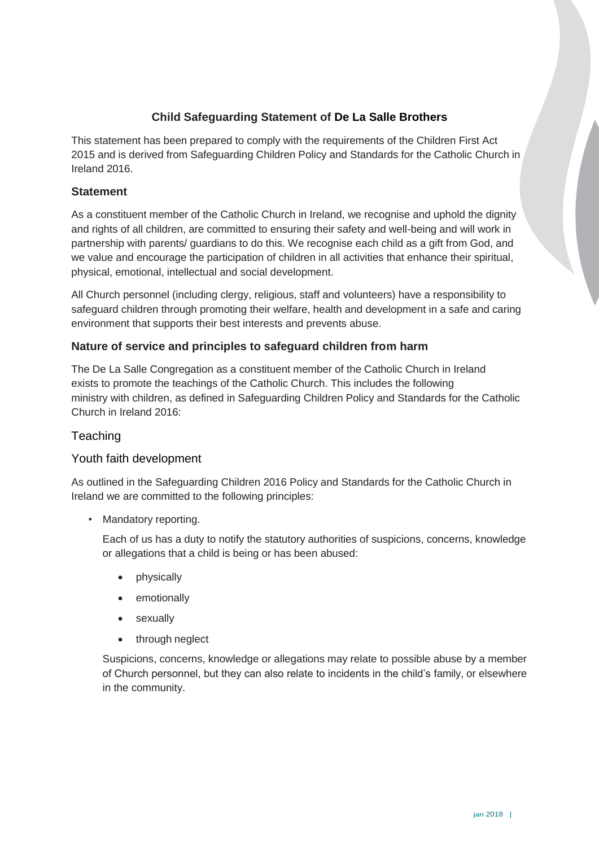# **Child Safeguarding Statement of De La Salle Brothers**

This statement has been prepared to comply with the requirements of the Children First Act 2015 and is derived from Safeguarding Children Policy and Standards for the Catholic Church in Ireland 2016.

### **Statement**

As a constituent member of the Catholic Church in Ireland, we recognise and uphold the dignity and rights of all children, are committed to ensuring their safety and well-being and will work in partnership with parents/ guardians to do this. We recognise each child as a gift from God, and we value and encourage the participation of children in all activities that enhance their spiritual, physical, emotional, intellectual and social development.

All Church personnel (including clergy, religious, staff and volunteers) have a responsibility to safeguard children through promoting their welfare, health and development in a safe and caring environment that supports their best interests and prevents abuse.

### **Nature of service and principles to safeguard children from harm**

The De La Salle Congregation as a constituent member of the Catholic Church in Ireland exists to promote the teachings of the Catholic Church. This includes the following ministry with children, as defined in Safeguarding Children Policy and Standards for the Catholic Church in Ireland 2016:

# **Teaching**

### Youth faith development

As outlined in the Safeguarding Children 2016 Policy and Standards for the Catholic Church in Ireland we are committed to the following principles:

• Mandatory reporting.

Each of us has a duty to notify the statutory authorities of suspicions, concerns, knowledge or allegations that a child is being or has been abused:

- physically
- emotionally
- sexually
- through neglect

Suspicions, concerns, knowledge or allegations may relate to possible abuse by a member of Church personnel, but they can also relate to incidents in the child's family, or elsewhere in the community.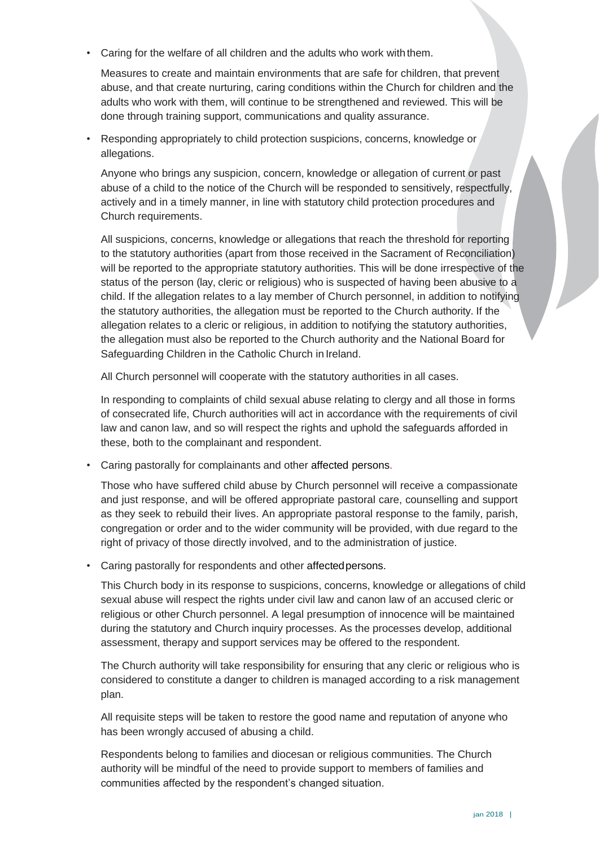Caring for the welfare of all children and the adults who work with them.

Measures to create and maintain environments that are safe for children, that prevent abuse, and that create nurturing, caring conditions within the Church for children and the adults who work with them, will continue to be strengthened and reviewed. This will be done through training support, communications and quality assurance.

• Responding appropriately to child protection suspicions, concerns, knowledge or allegations.

Anyone who brings any suspicion, concern, knowledge or allegation of current or past abuse of a child to the notice of the Church will be responded to sensitively, respectfully, actively and in a timely manner, in line with statutory child protection procedures and Church requirements.

All suspicions, concerns, knowledge or allegations that reach the threshold for reporting to the statutory authorities (apart from those received in the Sacrament of Reconciliation) will be reported to the appropriate statutory authorities. This will be done irrespective of the status of the person (lay, cleric or religious) who is suspected of having been abusive to a child. If the allegation relates to a lay member of Church personnel, in addition to notifying the statutory authorities, the allegation must be reported to the Church authority. If the allegation relates to a cleric or religious, in addition to notifying the statutory authorities, the allegation must also be reported to the Church authority and the National Board for Safeguarding Children in the Catholic Church in Ireland.

All Church personnel will cooperate with the statutory authorities in all cases.

In responding to complaints of child sexual abuse relating to clergy and all those in forms of consecrated life, Church authorities will act in accordance with the requirements of civil law and canon law, and so will respect the rights and uphold the safeguards afforded in these, both to the complainant and respondent.

• Caring pastorally for complainants and other affected persons.

Those who have suffered child abuse by Church personnel will receive a compassionate and just response, and will be offered appropriate pastoral care, counselling and support as they seek to rebuild their lives. An appropriate pastoral response to the family, parish, congregation or order and to the wider community will be provided, with due regard to the right of privacy of those directly involved, and to the administration of justice.

• Caring pastorally for respondents and other affectedpersons.

This Church body in its response to suspicions, concerns, knowledge or allegations of child sexual abuse will respect the rights under civil law and canon law of an accused cleric or religious or other Church personnel. A legal presumption of innocence will be maintained during the statutory and Church inquiry processes. As the processes develop, additional assessment, therapy and support services may be offered to the respondent.

The Church authority will take responsibility for ensuring that any cleric or religious who is considered to constitute a danger to children is managed according to a risk management plan.

All requisite steps will be taken to restore the good name and reputation of anyone who has been wrongly accused of abusing a child.

Respondents belong to families and diocesan or religious communities. The Church authority will be mindful of the need to provide support to members of families and communities affected by the respondent's changed situation.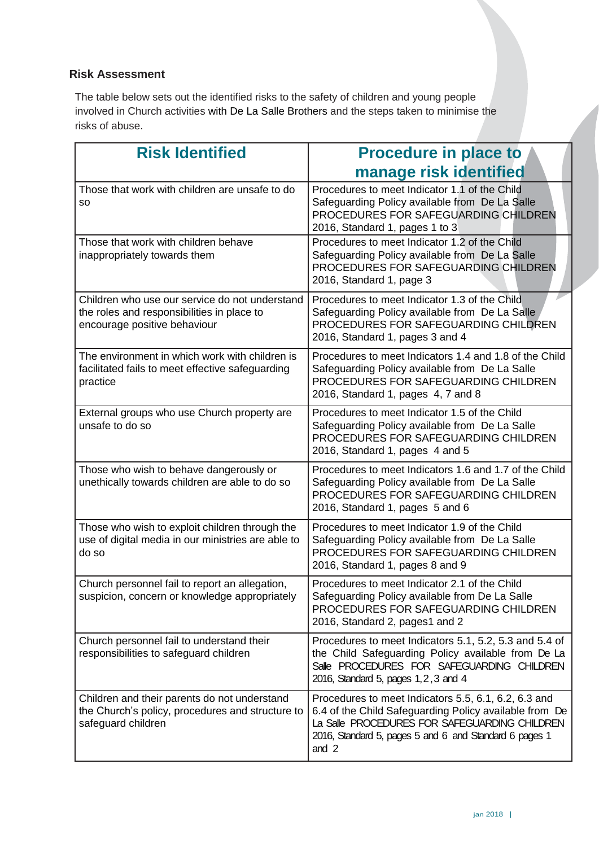# **Risk Assessment**

The table below sets out the identified risks to the safety of children and young people involved in Church activities with De La Salle Brothers and the steps taken to minimise the risks of abuse.

| <b>Risk Identified</b>                                                                                                       | <b>Procedure in place to</b>                                                                                                                                                                                                       |
|------------------------------------------------------------------------------------------------------------------------------|------------------------------------------------------------------------------------------------------------------------------------------------------------------------------------------------------------------------------------|
|                                                                                                                              | manage risk identified                                                                                                                                                                                                             |
| Those that work with children are unsafe to do<br>SO.                                                                        | Procedures to meet Indicator 1.1 of the Child<br>Safeguarding Policy available from De La Salle<br>PROCEDURES FOR SAFEGUARDING CHILDREN<br>2016, Standard 1, pages 1 to 3                                                          |
| Those that work with children behave<br>inappropriately towards them                                                         | Procedures to meet Indicator 1.2 of the Child<br>Safeguarding Policy available from De La Salle<br>PROCEDURES FOR SAFEGUARDING CHILDREN<br>2016, Standard 1, page 3                                                                |
| Children who use our service do not understand<br>the roles and responsibilities in place to<br>encourage positive behaviour | Procedures to meet Indicator 1.3 of the Child<br>Safeguarding Policy available from De La Salle<br>PROCEDURES FOR SAFEGUARDING CHILDREN<br>2016, Standard 1, pages 3 and 4                                                         |
| The environment in which work with children is<br>facilitated fails to meet effective safeguarding<br>practice               | Procedures to meet Indicators 1.4 and 1.8 of the Child<br>Safeguarding Policy available from De La Salle<br>PROCEDURES FOR SAFEGUARDING CHILDREN<br>2016, Standard 1, pages 4, 7 and 8                                             |
| External groups who use Church property are<br>unsafe to do so                                                               | Procedures to meet Indicator 1.5 of the Child<br>Safeguarding Policy available from De La Salle<br>PROCEDURES FOR SAFEGUARDING CHILDREN<br>2016, Standard 1, pages 4 and 5                                                         |
| Those who wish to behave dangerously or<br>unethically towards children are able to do so                                    | Procedures to meet Indicators 1.6 and 1.7 of the Child<br>Safeguarding Policy available from De La Salle<br>PROCEDURES FOR SAFEGUARDING CHILDREN<br>2016, Standard 1, pages 5 and 6                                                |
| Those who wish to exploit children through the<br>use of digital media in our ministries are able to<br>do so                | Procedures to meet Indicator 1.9 of the Child<br>Safeguarding Policy available from De La Salle<br>PROCEDURES FOR SAFEGUARDING CHILDREN<br>2016, Standard 1, pages 8 and 9                                                         |
| Church personnel fail to report an allegation,<br>suspicion, concern or knowledge appropriately                              | Procedures to meet Indicator 2.1 of the Child<br>Safeguarding Policy available from De La Salle<br>PROCEDURES FOR SAFEGUARDING CHILDREN<br>2016, Standard 2, pages1 and 2                                                          |
| Church personnel fail to understand their<br>responsibilities to safeguard children                                          | Procedures to meet Indicators 5.1, 5.2, 5.3 and 5.4 of<br>the Child Safeguarding Policy available from De La<br>Salle PROCEDURES FOR SAFEGUARDING CHILDREN<br>2016, Standard 5, pages 1, 2, 3 and 4                                |
| Children and their parents do not understand<br>the Church's policy, procedures and structure to<br>safeguard children       | Procedures to meet Indicators 5.5, 6.1, 6.2, 6.3 and<br>6.4 of the Child Safeguarding Policy available from De<br>La Salle PROCEDURES FOR SAFEGUARDING CHILDREN<br>2016, Standard 5, pages 5 and 6 and Standard 6 pages 1<br>and 2 |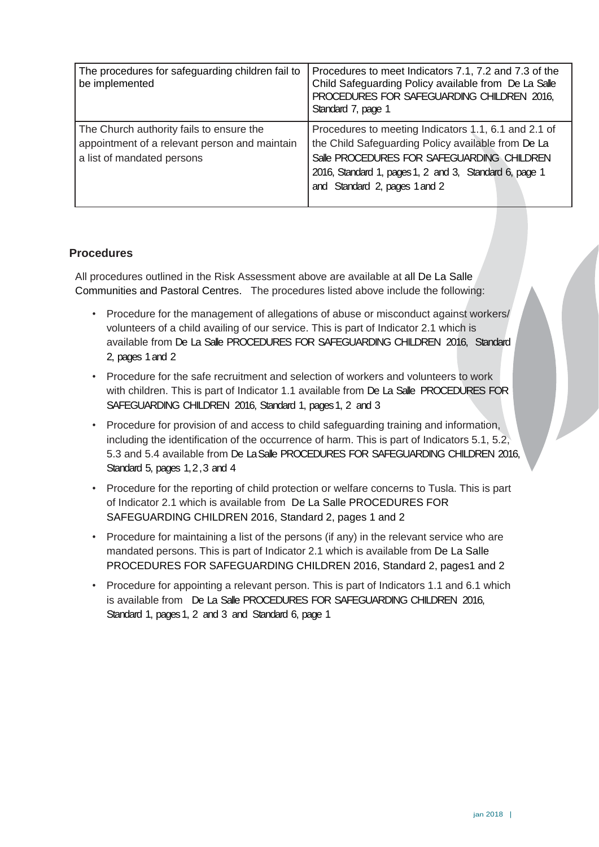| The procedures for safeguarding children fail to<br>be implemented                                                      | Procedures to meet Indicators 7.1, 7.2 and 7.3 of the<br>Child Safeguarding Policy available from De La Salle<br>PROCEDURES FOR SAFEGUARDING CHILDREN 2016,<br>Standard 7, page 1                                                                   |
|-------------------------------------------------------------------------------------------------------------------------|-----------------------------------------------------------------------------------------------------------------------------------------------------------------------------------------------------------------------------------------------------|
| The Church authority fails to ensure the<br>appointment of a relevant person and maintain<br>a list of mandated persons | Procedures to meeting Indicators 1.1, 6.1 and 2.1 of<br>the Child Safeguarding Policy available from De La<br>Salle PROCEDURES FOR SAFEGUARDING CHILDREN<br>2016, Standard 1, pages 1, 2 and 3, Standard 6, page 1<br>and Standard 2, pages 1 and 2 |

### **Procedures**

All procedures outlined in the Risk Assessment above are available at all De La Salle Communities and Pastoral Centres. The procedures listed above include the following:

- Procedure for the management of allegations of abuse or misconduct against workers/ volunteers of a child availing of our service. This is part of Indicator 2.1 which is available from De La Salle PROCEDURES FOR SAFEGUARDING CHILDREN 2016, Standard 2, pages 1 and 2
- Procedure for the safe recruitment and selection of workers and volunteers to work with children. This is part of Indicator 1.1 available from De La Salle PROCEDURES FOR SAFEGUARDING CHILDREN 2016, Standard 1, pages 1, 2 and 3
- Procedure for provision of and access to child safeguarding training and information, including the identification of the occurrence of harm. This is part of Indicators 5.1, 5.2, 5.3 and 5.4 available from De La Salle PROCEDURES FOR SAFEGUARDING CHILDREN 2016, Standard 5, pages 1, 2, 3 and 4
- Procedure for the reporting of child protection or welfare concerns to Tusla. This is part of Indicator 2.1 which is available from De La Salle PROCEDURES FOR SAFEGUARDING CHILDREN 2016, Standard 2, pages 1 and 2
- Procedure for maintaining a list of the persons (if any) in the relevant service who are mandated persons. This is part of Indicator 2.1 which is available from De La Salle PROCEDURES FOR SAFEGUARDING CHILDREN 2016, Standard 2, pages1 and 2
- Procedure for appointing a relevant person. This is part of Indicators 1.1 and 6.1 which is available from De La Salle PROCEDURES FOR SAFEGUARDING CHILDREN 2016, Standard 1, pages 1, 2 and 3 and Standard 6, page 1